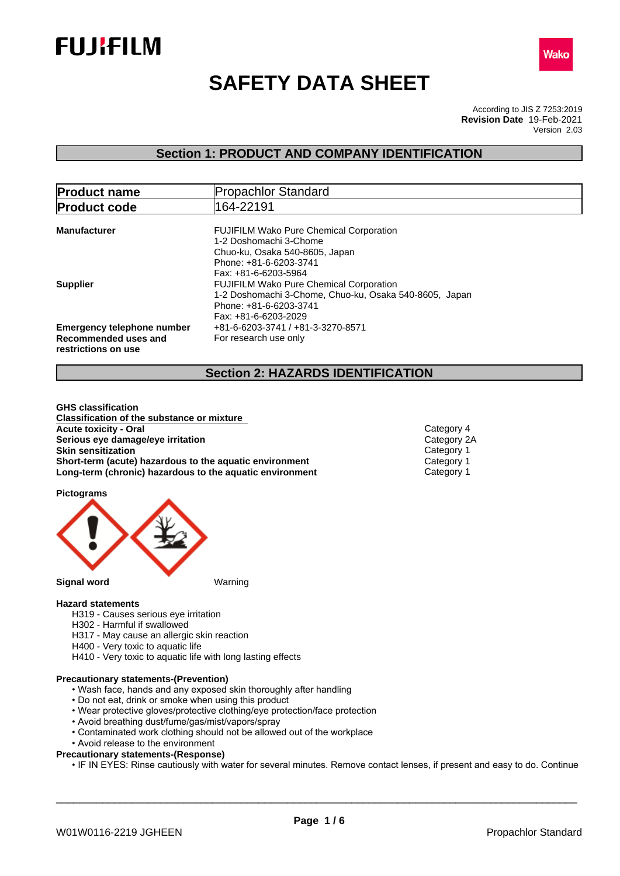



# **SAFETY DATA SHEET**

According to JIS Z 7253:2019 Version 2.03 **Revision Date** 19-Feb-2021

## **Section 1: PRODUCT AND COMPANY IDENTIFICATION**

| <b>Product name</b>                                                              | <b>Propachlor Standard</b>                                                                                                                                   |
|----------------------------------------------------------------------------------|--------------------------------------------------------------------------------------------------------------------------------------------------------------|
| <b>Product code</b>                                                              | 164-22191                                                                                                                                                    |
| <b>Manufacturer</b>                                                              | <b>FUJIFILM Wako Pure Chemical Corporation</b><br>1-2 Doshomachi 3-Chome<br>Chuo-ku, Osaka 540-8605, Japan<br>Phone: +81-6-6203-3741<br>Fax: +81-6-6203-5964 |
| Supplier                                                                         | <b>FUJIFILM Wako Pure Chemical Corporation</b><br>1-2 Doshomachi 3-Chome, Chuo-ku, Osaka 540-8605, Japan<br>Phone: +81-6-6203-3741<br>Fax: +81-6-6203-2029   |
| <b>Emergency telephone number</b><br>Recommended uses and<br>restrictions on use | +81-6-6203-3741 / +81-3-3270-8571<br>For research use only                                                                                                   |

## **Section 2: HAZARDS IDENTIFICATION**

**GHS classification Classification of the substance or mixture Acute toxicity - Oral Category 4**<br> **Serious eye damage/eye irritation**<br>
Category 2A **Serious eye damage/eye irritation**<br> **Skin sensitization**<br>
Category 1 **Skin sensitization**<br> **Short-term (acute) hazardous to the aquatic environment** Category 1<br>
Category 1 **Short-term (acute) hazardous to the aquatic environment Long-term (chronic) hazardous to the aquatic environment** Category 1

**Pictograms**



#### **Hazard statements**

- H319 Causes serious eye irritation
- H302 Harmful if swallowed
- H317 May cause an allergic skin reaction
- H400 Very toxic to aquatic life
- H410 Very toxic to aquatic life with long lasting effects

## **Precautionary statements-(Prevention)**

- Wash face, hands and any exposed skin thoroughly after handling
- Do not eat, drink or smoke when using this product
- Wear protective gloves/protective clothing/eye protection/face protection
- Avoid breathing dust/fume/gas/mist/vapors/spray
- Contaminated work clothing should not be allowed out of the workplace
- Avoid release to the environment
- **Precautionary statements-(Response)**
	- IF IN EYES: Rinse cautiously with water for several minutes. Remove contact lenses, if present and easy to do. Continue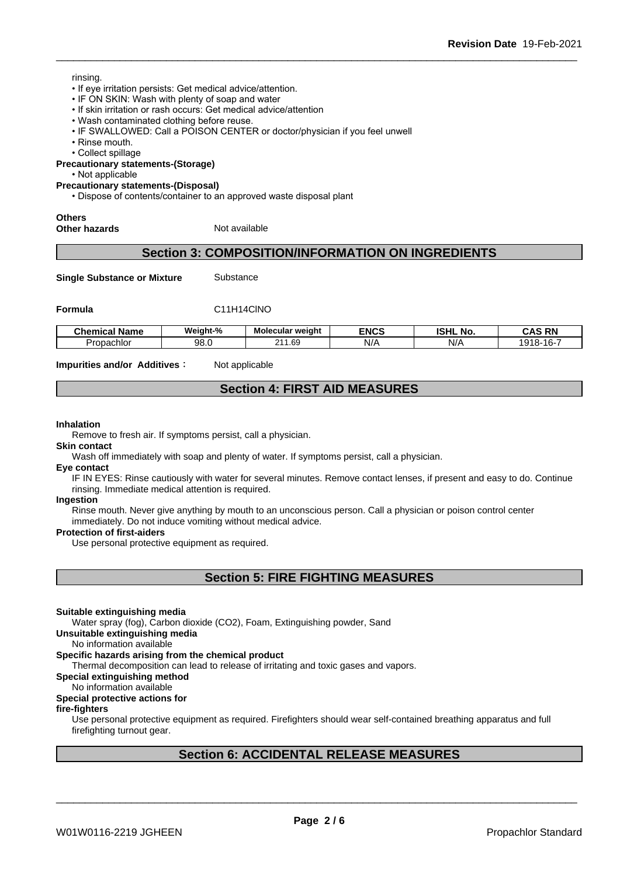### rinsing.

- If eye irritation persists: Get medical advice/attention.
- IF ON SKIN: Wash with plenty of soap and water
- If skin irritation or rash occurs: Get medical advice/attention
- Wash contaminated clothing before reuse.
- IF SWALLOWED: Call a POISON CENTER or doctor/physician if you feel unwell
- Rinse mouth.
- Collect spillage

**Precautionary statements-(Storage)**

• Not applicable

#### **Precautionary statements-(Disposal)**

• Dispose of contents/container to an approved waste disposal plant

**Others**

**Other hazards** Not available

## **Section 3: COMPOSITION/INFORMATION ON INGREDIENTS**

**Single Substance or Mixture** Substance

## **Formula** C11H14ClNO

| . .<br>Chemical<br>Name | Weight-%<br>- - | Molecular weight | <b>ENCS</b>          | <b>ISHL</b><br>No. | <b>RN</b><br>۸C.<br>ono.                      |
|-------------------------|-----------------|------------------|----------------------|--------------------|-----------------------------------------------|
| Propachlor              | 98.0            | 211.69           | NI/Z<br>$\mathbf{v}$ | N/A                | $\sim$ $\sim$<br>918<br>$1.7K$ -<br>--<br>10. |

**Impurities and/or Additives**: Not applicable

## **Section 4: FIRST AID MEASURES**

#### **Inhalation**

Remove to fresh air. If symptoms persist, call a physician.

#### **Skin contact**

Wash off immediately with soap and plenty of water. If symptoms persist, calla physician.

**Eye contact**

IF IN EYES: Rinse cautiously with water for several minutes. Remove contact lenses, if present and easy to do. Continue rinsing. Immediate medical attention is required.

## **Ingestion**

Rinse mouth. Never give anything by mouth to an unconscious person. Call a physician or poison control center immediately. Do not induce vomiting without medical advice.

#### **Protection of first-aiders**

Use personal protective equipment as required.

**Section 5: FIRE FIGHTING MEASURES**

### **Suitable extinguishing media**

Water spray (fog), Carbon dioxide (CO2), Foam, Extinguishing powder, Sand

**Unsuitable extinguishing media**

No information available

### **Specific hazards arising from the chemical product**

Thermal decomposition can lead to release of irritating and toxic gases and vapors.

**Special extinguishing method**

## No information available

## **Special protective actions for**

### **fire-fighters**

Use personal protective equipment as required.Firefighters should wear self-contained breathing apparatus and full firefighting turnout gear.

## **Section 6: ACCIDENTAL RELEASE MEASURES**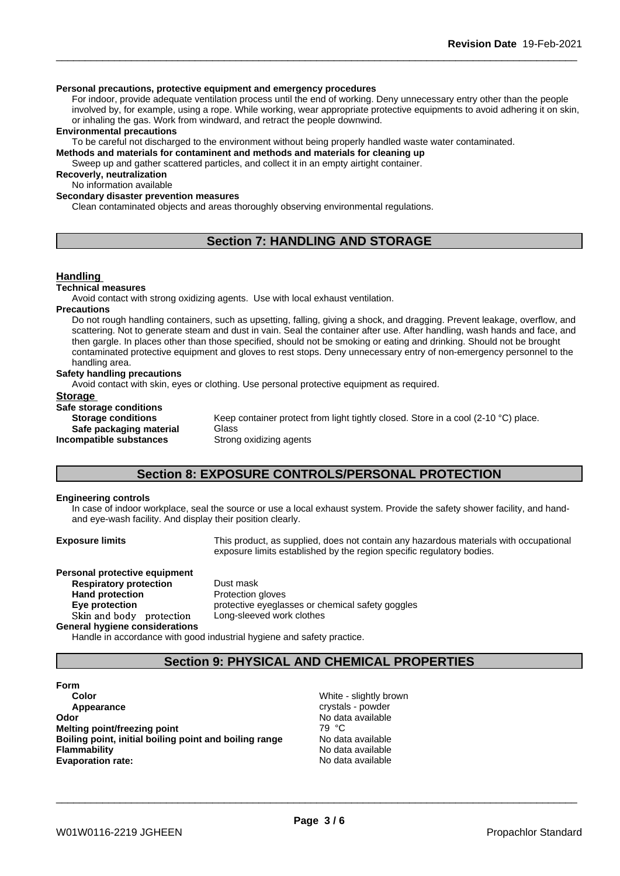### **Personal precautions, protective equipment and emergency procedures**

For indoor, provide adequate ventilation process until the end of working. Deny unnecessary entry other than the people involved by, for example, using a rope. While working, wear appropriate protective equipments to avoid adhering it on skin, or inhaling the gas. Work from windward, and retract the people downwind.

#### **Environmental precautions**

To be careful not discharged to the environment without being properly handled waste water contaminated.

**Methods and materials for contaminent and methods and materials for cleaning up**

Sweep up and gather scattered particles, and collect it in an empty airtight container.

## **Recoverly, neutralization**

No information available

**Secondary disaster prevention measures**

Clean contaminated objects and areas thoroughly observing environmental regulations.

## **Section 7: HANDLING AND STORAGE**

#### **Handling**

#### **Technical measures**

Avoid contact with strong oxidizing agents. Use with local exhaust ventilation.

#### **Precautions**

Do not rough handling containers, such as upsetting, falling, giving a shock, and dragging. Prevent leakage, overflow, and scattering. Not to generate steam and dust in vain. Seal the container after use. After handling, wash hands and face, and then gargle. In places other than those specified, should not be smoking or eating and drinking. Should not be brought contaminated protective equipment and gloves to rest stops. Deny unnecessary entry of non-emergency personnel to the handling area.

#### **Safety handling precautions**

Avoid contact with skin, eyes or clothing. Use personal protective equipment as required.

# **Storage**<br>Safe storage conditions

| Safe storage conditions   |                                                                                    |
|---------------------------|------------------------------------------------------------------------------------|
| <b>Storage conditions</b> | Keep container protect from light tightly closed. Store in a cool (2-10 °C) place. |
| Safe packaging material   | Glass                                                                              |
| Incompatible substances   | Strong oxidizing agents                                                            |

## **Section 8: EXPOSURE CONTROLS/PERSONAL PROTECTION**

#### **Engineering controls**

In case of indoor workplace, seal the source or use a local exhaust system. Provide the safety shower facility, and handand eye-wash facility. And display their position clearly.

**Exposure limits** This product, as supplied, does not contain any hazardous materials with occupational exposure limits established by the region specific regulatory bodies.

**Personal protective equipment Respiratory protection** Dust mask **Hand protection**<br> **Eye protection**<br> **Eye protection**<br> **Exercise Skinandbody protection** Long-sleeved work clothes **General hygiene considerations**

**Eye protection** protective eyeglasses or chemical safety goggles

Handle in accordance with good industrial hygiene and safety practice.

## **Section 9: PHYSICAL AND CHEMICAL PROPERTIES**

**Form Color** Color **Color Color Color Color Color Color Color Color Color Color Color Color Color Color Color Color Color Color Color Color Color Color Color Color Color Color Appearance** crystals - powder **Odor Odor** No data available<br> **Melting point/freezing point Alta available Melting point/freezing point Melting point/freezing point Boiling point, initial boiling point and boiling range** No data available **Flammability**<br> **Figure 12 Constant Constant Constant Constant Constant Constant Constant Constant Constant Constant Constant Constant Constant Constant Constant Constant Constant Constant Constant Constant Constant Consta Evaporation rate:**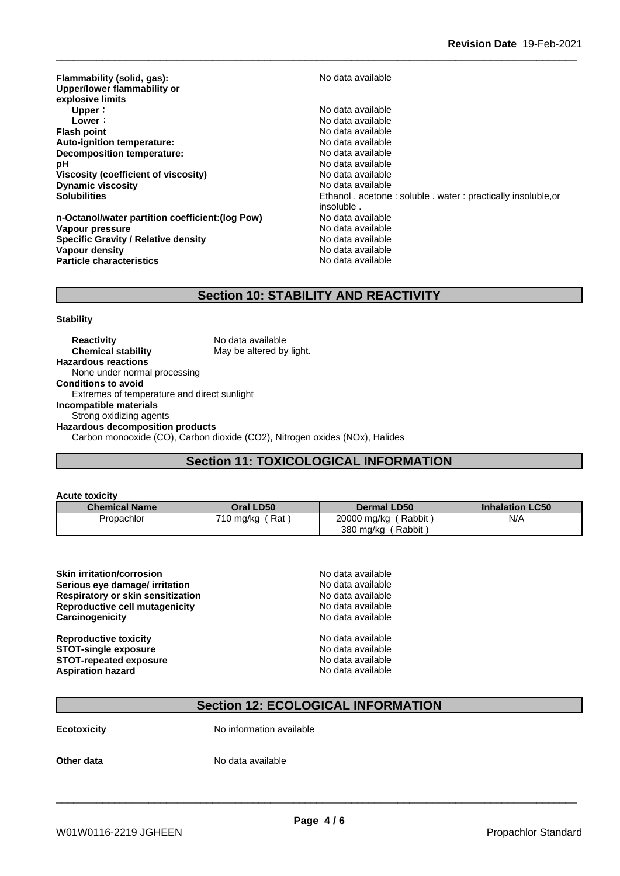**Flammability (solid, gas):** No data available **Upper/lower flammability or explosive limits Upper :** No data available<br> **Lower** : No data available<br>
No data available **Lower** : **Lower** : **Constant Constant Constant Constant Constant Constant Constant Constant Constant Constant Constant Constant Constant Constant Constant Constant Constant Constant Constant Constant Constant Constant Con Auto-ignition temperature:**<br> **Decomposition temperature:** No data available **Decomposition temperature: pH** No data available **Viscosity (coefficient of viscosity)** No data available<br> **Dynamic viscosity** No data available<br>
No data available **Dynamic viscosity**<br>Solubilities

**n-Octanol/water partition coefficient:(log Pow) No data available<br>
Vapour pressure<br>
No data available Vapour pressure Specific Gravity / Relative density** No data available **Vapour density**<br> **Particle characteristics**<br> **Particle characteristics Particle characteristics** 

**Flash point** No data available Ethanol, acetone : soluble . water : practically insoluble,or insoluble .<br>No data available

## **Section 10: STABILITY AND REACTIVITY**

#### **Stability**

**Reactivity** No data available<br> **Chemical stability** May be altered by May be altered by light. **Hazardous reactions** None under normal processing **Conditions to avoid** Extremes of temperature and direct sunlight **Incompatible materials** Strong oxidizing agents **Hazardous decomposition products** Carbon monooxide (CO), Carbon dioxide (CO2), Nitrogen oxides (NOx), Halides

**Section 11: TOXICOLOGICAL INFORMATION**

| <b>Acute toxicity</b> |                 |                      |                        |
|-----------------------|-----------------|----------------------|------------------------|
| <b>Chemical Name</b>  | Oral LD50       | <b>Dermal LD50</b>   | <b>Inhalation LC50</b> |
| Propachlor            | 710 mg/kg (Rat) | 20000 mg/kg (Rabbit) | N/A                    |
|                       |                 | 380 mg/kg<br>Rabbit  |                        |

| <b>Skin irritation/corrosion</b>         | No data available |  |
|------------------------------------------|-------------------|--|
| Serious eye damage/ irritation           | No data available |  |
| <b>Respiratory or skin sensitization</b> | No data available |  |
| <b>Reproductive cell mutagenicity</b>    | No data available |  |
| Carcinogenicity                          | No data available |  |
| <b>Reproductive toxicity</b>             | No data available |  |
| <b>STOT-single exposure</b>              | No data available |  |
| <b>STOT-repeated exposure</b>            | No data available |  |
| <b>Aspiration hazard</b>                 | No data available |  |
|                                          |                   |  |

## **Section 12: ECOLOGICAL INFORMATION**

**Ecotoxicity** No information available

**Other data** No data available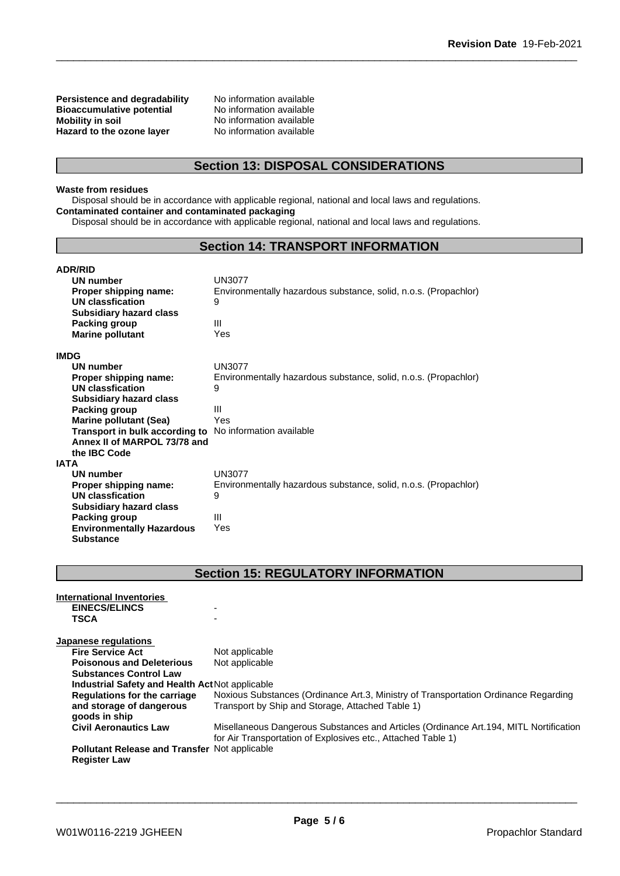**Persistence and degradability** No information available<br>**Bioaccumulative potential** No information available **Bioaccumulative potential<br>Mobility in soil Hazard** to the ozone layer

No information available<br>No information available

## **Section 13: DISPOSAL CONSIDERATIONS**

## **Waste from residues**

Disposal should be in accordance with applicable regional, national and local laws and regulations. **Contaminated container and contaminated packaging**

Disposal should be in accordance with applicable regional, national and local laws and regulations.

## **Section 14: TRANSPORT INFORMATION**

| <b>ADR/RID</b>                                                 |                                                                 |
|----------------------------------------------------------------|-----------------------------------------------------------------|
| <b>UN number</b>                                               | <b>UN3077</b>                                                   |
| Proper shipping name:                                          | Environmentally hazardous substance, solid, n.o.s. (Propachlor) |
| UN classfication                                               | 9                                                               |
| <b>Subsidiary hazard class</b>                                 |                                                                 |
| Packing group                                                  | Ш                                                               |
| <b>Marine pollutant</b>                                        | Yes                                                             |
| <b>IMDG</b>                                                    |                                                                 |
| <b>UN number</b>                                               | UN3077                                                          |
| Proper shipping name:                                          | Environmentally hazardous substance, solid, n.o.s. (Propachlor) |
| UN classfication                                               | 9                                                               |
| <b>Subsidiary hazard class</b>                                 |                                                                 |
| Packing group                                                  | Ш                                                               |
| <b>Marine pollutant (Sea)</b>                                  | Yes                                                             |
| <b>Transport in bulk according to</b> No information available |                                                                 |
| Annex II of MARPOL 73/78 and                                   |                                                                 |
| the IBC Code                                                   |                                                                 |
| IATA                                                           |                                                                 |
| UN number                                                      | <b>UN3077</b>                                                   |
| Proper shipping name:                                          | Environmentally hazardous substance, solid, n.o.s. (Propachlor) |
| UN classfication                                               | 9                                                               |
| <b>Subsidiary hazard class</b>                                 |                                                                 |
| Packing group                                                  | Ш                                                               |
| <b>Environmentally Hazardous</b>                               | Yes                                                             |
| <b>Substance</b>                                               |                                                                 |

## **Section 15: REGULATORY INFORMATION**

| International Inventories                            |                                                                                                                                                        |
|------------------------------------------------------|--------------------------------------------------------------------------------------------------------------------------------------------------------|
| <b>EINECS/ELINCS</b>                                 |                                                                                                                                                        |
| <b>TSCA</b>                                          |                                                                                                                                                        |
| Japanese regulations                                 |                                                                                                                                                        |
| <b>Fire Service Act</b>                              | Not applicable                                                                                                                                         |
| <b>Poisonous and Deleterious</b>                     | Not applicable                                                                                                                                         |
| <b>Substances Control Law</b>                        |                                                                                                                                                        |
| Industrial Safety and Health Act Not applicable      |                                                                                                                                                        |
| Regulations for the carriage                         | Noxious Substances (Ordinance Art.3, Ministry of Transportation Ordinance Regarding                                                                    |
| and storage of dangerous<br>goods in ship            | Transport by Ship and Storage, Attached Table 1)                                                                                                       |
| <b>Civil Aeronautics Law</b>                         | Misellaneous Dangerous Substances and Articles (Ordinance Art. 194, MITL Nortification<br>for Air Transportation of Explosives etc., Attached Table 1) |
| <b>Pollutant Release and Transfer Not applicable</b> |                                                                                                                                                        |
| <b>Register Law</b>                                  |                                                                                                                                                        |